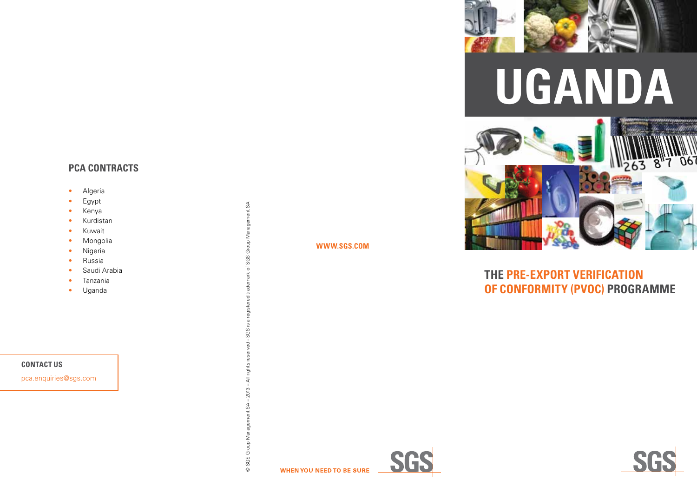## **PCA CONTRACTS**

- Algeria
- Egypt
- Kenya
- Kurdistan
- Kuwait
- Mongolia
- Nigeria
- Russia
- Saudi Arabia
- Tanzania
- Uganda

© SGS Group Management SA - 2013 - All rights reserved - SGS is a registered trademark of SGS Group Management SA © SGS Group Management SA – 2013 – All rights reserved - SGS is a registered trademark of SGS Group Management SA





## **R S S S E C O N F O R M I T Y UGANDA**



# **THE PRE-EXP ORT VERIFI CATI ON OF CONF O R MITY (PVo C) PROGRAMM E**





#### **CONTACT US**

pca.enquiries@sgs.com